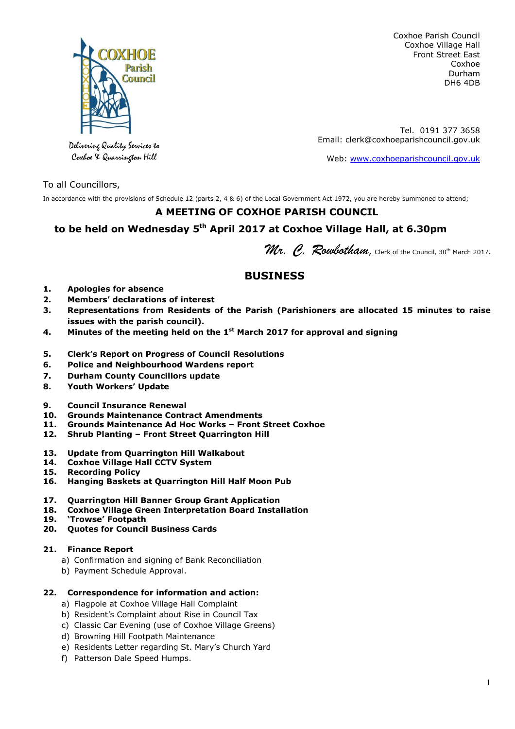

Coxhoe Parish Council Coxhoe Village Hall Front Street East Coxhoe Durham DH6 4DB

Tel. 0191 377 3658 Email: clerk@coxhoeparishcouncil.gov.uk

Web: www.coxhoeparishcouncil.gov.uk

Delivering Quality Services to Coxhoe & Quarrington Hill

To all Councillors,

In accordance with the provisions of Schedule 12 (parts 2, 4 & 6) of the Local Government Act 1972, you are hereby summoned to attend;

## **A MEETING OF COXHOE PARISH COUNCIL**

## **to be held on Wednesday 5th April 2017 at Coxhoe Village Hall, at 6.30pm**

Wr. C. Roubotham, Clerk of the Council, 30<sup>th</sup> March 2017.

# **BUSINESS**

- **1. Apologies for absence**
- **2. Members' declarations of interest**
- **3. Representations from Residents of the Parish (Parishioners are allocated 15 minutes to raise issues with the parish council).**
- **4. Minutes of the meeting held on the 1st March 2017 for approval and signing**
- **5. Clerk's Report on Progress of Council Resolutions**
- **6. Police and Neighbourhood Wardens report**
- **7. Durham County Councillors update**
- **8. Youth Workers' Update**
- **9. Council Insurance Renewal**
- **10. Grounds Maintenance Contract Amendments**
- **11. Grounds Maintenance Ad Hoc Works Front Street Coxhoe**
- **12. Shrub Planting Front Street Quarrington Hill**
- **13. Update from Quarrington Hill Walkabout**
- **14. Coxhoe Village Hall CCTV System**
- **15. Recording Policy**
- **16. Hanging Baskets at Quarrington Hill Half Moon Pub**
- **17. Quarrington Hill Banner Group Grant Application**
- **18. Coxhoe Village Green Interpretation Board Installation**
- **19. 'Trowse' Footpath**
- **20. Quotes for Council Business Cards**

## **21. Finance Report**

- a) Confirmation and signing of Bank Reconciliation
- b) Payment Schedule Approval.

## **22. Correspondence for information and action:**

- a) Flagpole at Coxhoe Village Hall Complaint
- b) Resident's Complaint about Rise in Council Tax
- c) Classic Car Evening (use of Coxhoe Village Greens)
- d) Browning Hill Footpath Maintenance
- e) Residents Letter regarding St. Mary's Church Yard
- f) Patterson Dale Speed Humps.